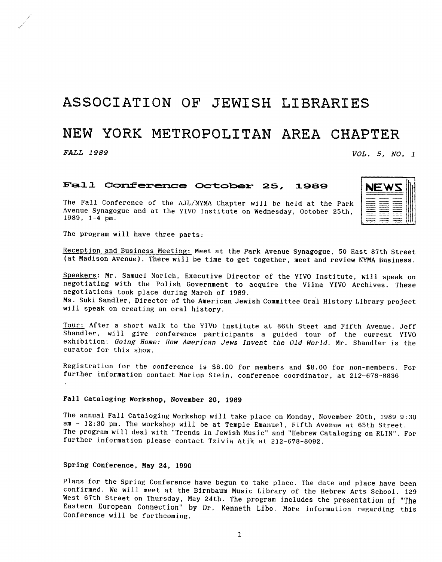# **ASSOCIATION OF JEWISH LIBRARIES**

### NEW YORK **METROPOLITAN** AREA CHAPTER

*i* 

### *FALL 1989 VOL. 5, NO. 1*

### Fall Conference October 25, 1989

The Fall Conference of the AJL/NYMA Chapter will be held at the Park Avenue Synagogue and at the YIVO Institute on Wednesday, October 25th, 1989, 1-4 pm.



The program will have three parts:

Reception and Business Meeting: Meet at the Park Avenue Synagogue, 50 East 87th Street (at Madison Avenue). There will be time to get together, meet and review NYMA Business.

Speakers: Mr. Samuel Norich, Executive Director of the YIVO Institute, will speak on negotiating with the Polish Government to acquire the Vilna YIVO Archives. These negotiations took place during March of 1989.

Ms. Suki Sandler, Director of the American Jewish Committee Oral History Library project will speak on creating an oral history.

Tour: After a short walk to the YIVO Institute at 86th Steet and Fifth Avenue, Jeff Shandler, will give conference participants a guided tour of the current YIVO exhibition: Going *Home: How American Jews Invent the Old World.* Mr. Shandler is the curator for this show.

Registration for the conference is \$6.00 for members and \$8.00 for non-members. For further information contact Marion Stein, conference coordinator, at 212-678-8836

#### **Fall Cataloging Workshop, November 20, 1989**

The annual Fall Cataloging Workshop will take place on Monday, November 20th, 1989 *9:30*  am - **12:30** pm. The workshop will be at Temple Emanuel, Fifth Avenue at 65th Street. The program will deal with "Trends in Jewish Music" and "Hebrew Cataloging on RLIN". For further information please contact Tzivia Atik at 212-678-8092.

### **Spring Conference,** May **24, 1990**

Plans for the Spring Conference have begun to take place. The date and place have been confirmed. We will meet at the Birnbaum Music Library of the Hebrew Arts School. 129 West 67th Street on Thursday, May 24th. The program includes the presentation of "The Eastern European Connection" **by** Dr. Kenneth Libo. More information regarding **this**  Conference will be forthcoming.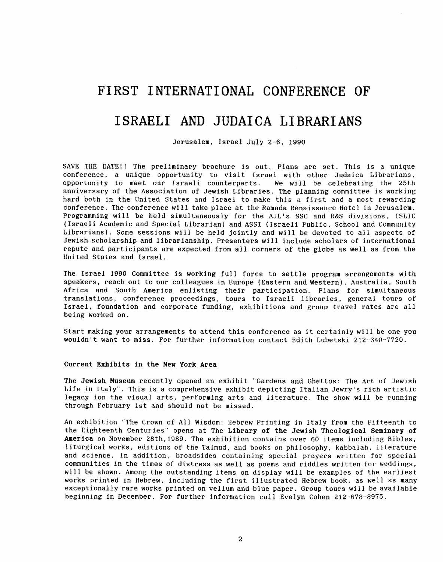## **FIRST INTERNATIONAL CONFERENCE OF**

## **ISRAELI AND JUDAI CA LI BRARI ANS**

Jerusalem, Israel July 2-6, 1990

SAVE THE DATE!! The preliminary brochure is out. Plans are set. This is a unique conference, a unique opportunity to visit Israel with other Judaica Librarians, opportunity to meet our Israeli counterparts. We will be celebrating the 25th anniversary of the Association of Jewish Libraries. The planning committee is working hard both in the United States and Israel to make this a first and a most rewarding conference. The conference will take place at the Ramada Renaissance Hotel in Jerusalem. Programming will be held simultaneously for the AJL's SSC and R&S divisions, ISLIC (Israeli Academic and Special Librarian) and ASS1 (Israeli Public, School and Community Librarians). Some sessions will be held jointly and will be devoted to all aspects of Jewish scholarship and librarianship. Presenters will include scholars of international repute and participants are expected from all corners of the globe as well as from the United States and Israel.

The Israel 1990 Committee is working full force to settle program arrangements with speakers, reach out to our colleagues in Europe (Eastern and Western), Australia, South Africa and South America enlisting their participation. Plans for simultaneous translations, conference proceedings, tours to Israeli libraries, general tours of Israel, foundation and corporate funding, exhibitions and group travel rates are all being worked on.

Start making your arrangements to attend this conference as it certainly will be one you wouldn't want to miss. For further information contact Edith Lubetski 212-340-7720.

#### Current **Exhibits** in the New York Area

The Jewish Museum recently opened an exhibit "Gardens and Ghettos: The Art of Jewish Life in Italy". This is a comprehensive exhibit depicting Italian Jewry's rich artistic legacy ion the visual arts, performing arts and literature. The show will be running through February 1st and should not be missed.

An exhibition "The Crown of All Wisdom: Hebrew Printing in Italy from the Fifteenth to the Eighteenth Centuries" opens at The **Library of** the Jewish Theological **Seminary of**  America **on** November 28th,1989. The exhibition contains over 60 items including Bibles, liturgical works, editions of the Talmud, and books on philosophy, kabbalah, literature and science. In addition, broadsides containing special prayers written for special communities in the times of distress as well as poems and riddles written for weddings, will be shown. Among the outstanding items on display will be examples of the earliest works printed in Hebrew, including the first illustrated Hebrew book, as well as many exceptionally rare works printed on vellum and blue paper. Group tours will be available beginning in December. For further information call Evelyn Cohen 212-678-8975.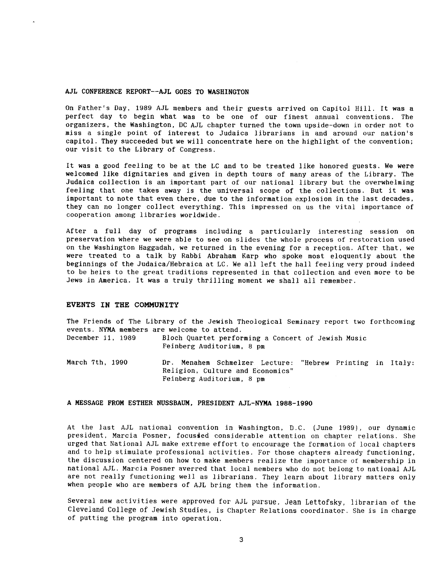#### **AJL CONFERENCE REPORT--AJL GOES TO WASHINGTON**

On Father's Day, **1989** AJL members and their guests arrived on Capitol Hill. It was a perfect day to begin what was to be one of our finest annual conventions. The organizers, the Washington, DC AJL chapter turned the town upside-down in order not to miss a single point of interest to Judaica librarians in and around our nation's capitol. They succeeded but we will concentrate here on the highlight of the convention; our visit to the Library of Congress.

It was a good feeling to be at the LC and to be treated like honored guests. We were welcomed like dignitaries and given in depth tours of many areas of the Library. The Judaica collection is an important part of our national library but the overwhelming feeling that one takes away is the universal scope of the collections. But it was important to note that even there, due to the information explosion in the last decades, they can no longer collect everything. This impressed on us the vital importance **of**  cooperation among libraries worldwide.

After a full day of programs including a particularly interesting session on preservation where we were able to see on slides the whole process of restoration used on the Washington Haggadah, we returned in the evening for a reception. After that, we were treated to a talk by Rabbi Abraham Karp who spoke most eloquently about the beginnings of the Judaica/Hebraica at LC. We all left the hall feeling very proud indeed to be heirs to the great traditions represented in that collection and even more to be Jews in America. It was a truly thrilling moment we shall all remember.

#### **EVENTS IN THE COMMUNITY**

The Friends of The Library of the Jewish Theological Seminary report two forthcoming events. NYMA members are welcome to attend.

December **11,** 1989 Bloch Quartet performing a Concert of Jewish Music Feinberg Auditorium, *8* pm

March 7th, **1990** Dr. Menahem Schmelzer Lecture: "Hebrew Printing in Italy: Religion, Culture and Economics" Feinberg Auditorium, 8 pm

#### **A MESSAGE FROM ESTHER NUSSBAUM, PRESIDENT AJL-NYMA 1988-1990**

At the last AJL national convention in Washington, D.C. (June 1989), our dynamic president, Marcia Posner, focus4ed considerable attention on chapter relations. She urged that National AJL make extreme effort to encourage the formation of local chapters and to help stimulate professional activities. For those chapters already functioning, the discussion centered on how to make members realize the importance of membership in national AJL. Marcia Posner averred that local members who do not belong to national AJL are not really functioning well as librarians. They learn about library matters only when people who are members of AJL bring them the information.

Several new activities were approved for AJL pursue. Jean Lettofsky, librarian of the Cleveland College of Jewish Studies, is Chapter Relations coordinator. She is in charge of putting the program into operation.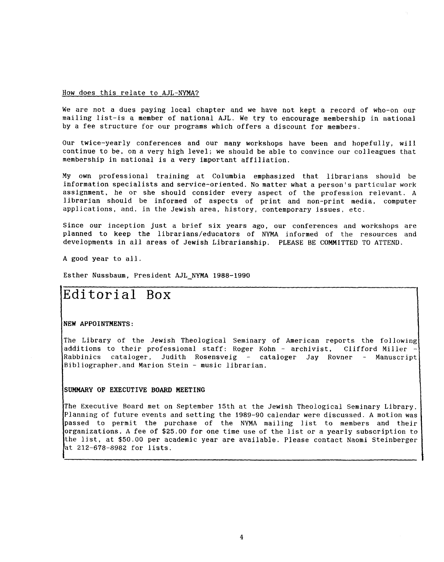#### How does this relate to AJL-NYMA?

We are not a dues paying local chapter and we have not kept a record of who-on our mailing list-is a member of national AJL. We try to encourage membership in national by a fee structure for our programs which offers a discount for members.

Our twice-yearly conferences and our many workshops have been and hopefully, will continue to be, on a very high level; we should be able to convince our colleagues that membership in national is a very important affiliation.

My own professional training at Columbia emphasized that librarians should be information specialists and service-oriented. No matter what a person's particular work assignment, **he** or she should consider every aspect of the profession relevant. **<sup>A</sup>** librarian should be informed of aspects of print and non-print media, computer applications, and, in the Jewish area, history, contemporary issues, etc.

Since our inception just a brief six years ago, our conferences and workshops are planned to keep the librarians/educators of NYMA informed of the resources and developments in all areas of Jewish Librarianship. PLEASE BE COMMITTED TO ATTEND.

A good year to all.

Esther Nussbaum, President AJL-NYMA **1988-1990** 

## Editorial Box

#### **NEW APPOINTMENTS:**

The Library of the Jewish Theological Seminary of American reports the following additions to their professional staff: Roger Kohn - archivist, Clifford Miller -Rabbinics cataloger, Judith Rosensveig - cataloger Jay Rovner - Manuscript Bibliographer,and Marion Stein - music librarian.

#### **SUMMARY OF EXECUTIVE BOARD MEETING**

The Executive Board met on September 15th at the Jewish Theological Seminary Library. Planning of future events and setting the **1989-90** calendar were discussed. **A** motion was passed to permit the purchase of the **NYMA** mailing list to members and their organizations. **A** fee of \$25.00 for one time use of the list or a yearly subscription to the list, at \$50.00 per academic year are available. Please contact Naomi Steinberger /at 212-678-8982 for lists.